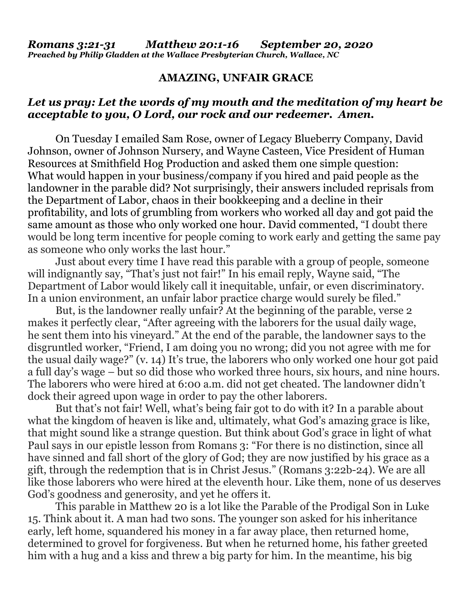## **AMAZING, UNFAIR GRACE**

## *Let us pray: Let the words of my mouth and the meditation of my heart be acceptable to you, O Lord, our rock and our redeemer. Amen.*

On Tuesday I emailed Sam Rose, owner of Legacy Blueberry Company, David Johnson, owner of Johnson Nursery, and Wayne Casteen, Vice President of Human Resources at Smithfield Hog Production and asked them one simple question: What would happen in your business/company if you hired and paid people as the landowner in the parable did? Not surprisingly, their answers included reprisals from the Department of Labor, chaos in their bookkeeping and a decline in their profitability, and lots of grumbling from workers who worked all day and got paid the same amount as those who only worked one hour. David commented, "I doubt there would be long term incentive for people coming to work early and getting the same pay as someone who only works the last hour."

Just about every time I have read this parable with a group of people, someone will indignantly say, "That's just not fair!" In his email reply, Wayne said, "The Department of Labor would likely call it inequitable, unfair, or even discriminatory. In a union environment, an unfair labor practice charge would surely be filed."

But, is the landowner really unfair? At the beginning of the parable, verse 2 makes it perfectly clear, "After agreeing with the laborers for the usual daily wage, he sent them into his vineyard." At the end of the parable, the landowner says to the disgruntled worker, "Friend, I am doing you no wrong; did you not agree with me for the usual daily wage?" (v. 14) It's true, the laborers who only worked one hour got paid a full day's wage – but so did those who worked three hours, six hours, and nine hours. The laborers who were hired at 6:00 a.m. did not get cheated. The landowner didn't dock their agreed upon wage in order to pay the other laborers.

But that's not fair! Well, what's being fair got to do with it? In a parable about what the kingdom of heaven is like and, ultimately, what God's amazing grace is like, that might sound like a strange question. But think about God's grace in light of what Paul says in our epistle lesson from Romans 3: "For there is no distinction, since all have sinned and fall short of the glory of God; they are now justified by his grace as a gift, through the redemption that is in Christ Jesus." (Romans 3:22b-24). We are all like those laborers who were hired at the eleventh hour. Like them, none of us deserves God's goodness and generosity, and yet he offers it.

This parable in Matthew 20 is a lot like the Parable of the Prodigal Son in Luke 15. Think about it. A man had two sons. The younger son asked for his inheritance early, left home, squandered his money in a far away place, then returned home, determined to grovel for forgiveness. But when he returned home, his father greeted him with a hug and a kiss and threw a big party for him. In the meantime, his big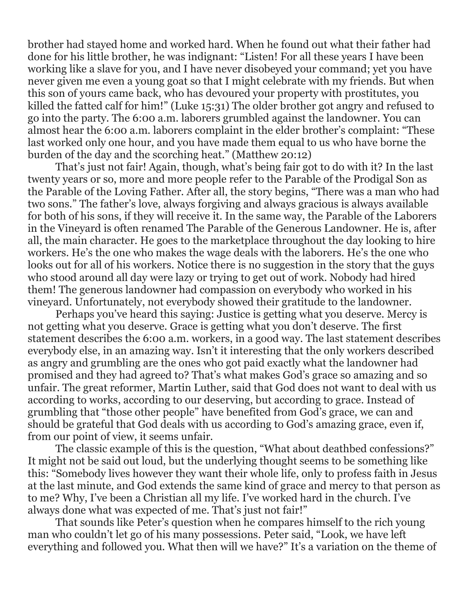brother had stayed home and worked hard. When he found out what their father had done for his little brother, he was indignant: "Listen! For all these years I have been working like a slave for you, and I have never disobeyed your command; yet you have never given me even a young goat so that I might celebrate with my friends. But when this son of yours came back, who has devoured your property with prostitutes, you killed the fatted calf for him!" (Luke 15:31) The older brother got angry and refused to go into the party. The 6:00 a.m. laborers grumbled against the landowner. You can almost hear the 6:00 a.m. laborers complaint in the elder brother's complaint: "These last worked only one hour, and you have made them equal to us who have borne the burden of the day and the scorching heat." (Matthew 20:12)

That's just not fair! Again, though, what's being fair got to do with it? In the last twenty years or so, more and more people refer to the Parable of the Prodigal Son as the Parable of the Loving Father. After all, the story begins, "There was a man who had two sons." The father's love, always forgiving and always gracious is always available for both of his sons, if they will receive it. In the same way, the Parable of the Laborers in the Vineyard is often renamed The Parable of the Generous Landowner. He is, after all, the main character. He goes to the marketplace throughout the day looking to hire workers. He's the one who makes the wage deals with the laborers. He's the one who looks out for all of his workers. Notice there is no suggestion in the story that the guys who stood around all day were lazy or trying to get out of work. Nobody had hired them! The generous landowner had compassion on everybody who worked in his vineyard. Unfortunately, not everybody showed their gratitude to the landowner.

Perhaps you've heard this saying: Justice is getting what you deserve. Mercy is not getting what you deserve. Grace is getting what you don't deserve. The first statement describes the 6:00 a.m. workers, in a good way. The last statement describes everybody else, in an amazing way. Isn't it interesting that the only workers described as angry and grumbling are the ones who got paid exactly what the landowner had promised and they had agreed to? That's what makes God's grace so amazing and so unfair. The great reformer, Martin Luther, said that God does not want to deal with us according to works, according to our deserving, but according to grace. Instead of grumbling that "those other people" have benefited from God's grace, we can and should be grateful that God deals with us according to God's amazing grace, even if, from our point of view, it seems unfair.

The classic example of this is the question, "What about deathbed confessions?" It might not be said out loud, but the underlying thought seems to be something like this: "Somebody lives however they want their whole life, only to profess faith in Jesus at the last minute, and God extends the same kind of grace and mercy to that person as to me? Why, I've been a Christian all my life. I've worked hard in the church. I've always done what was expected of me. That's just not fair!"

That sounds like Peter's question when he compares himself to the rich young man who couldn't let go of his many possessions. Peter said, "Look, we have left everything and followed you. What then will we have?" It's a variation on the theme of